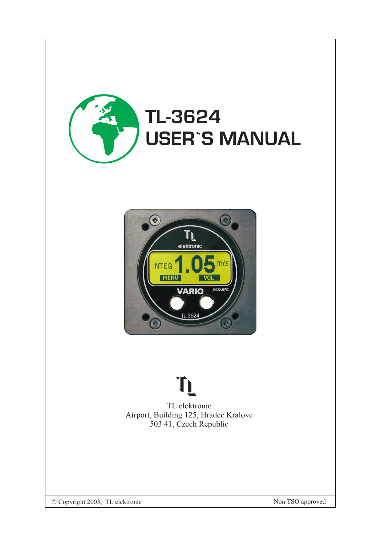



## T)

TL elektronic Airport, Building 125, Hradec Kralove 503 41, Czech Republic

© Copyright 2003, TL elektronic

Non TSO approved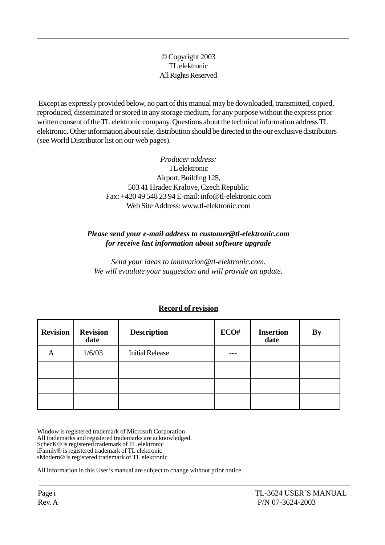© Copyright 2003 TL elektronic All Rights Reserved

 Except as expressly provided below, no part of this manual may be downloaded, transmitted, copied, reproduced, disseminated or stored in any storage medium, for any purpose without the express prior written consent of the TL elektronic company. Questions about the technical information address TL elektronic. Other information about sale, distribution should be directed to the our exclusive distributors (see World Distributor list on our web pages).

> *Producer address:* TL elektronic Airport, Building 125, 503 41 Hradec Kralove, Czech Republic Fax: +420 49 548 23 94 E-mail: info@tl-elektronic.com Web Site Address: www.tl-elektronic.com

## *Please send your e-mail address to customer@tl-elektronic.com for receive last information about software upgrade*

*Send your ideas to innovation@tl-elektronic.com. We will evaulate your suggestion and will provide an update.*

| <b>Revision</b> | <b>Revision</b><br>date | <b>Description</b>     | ECO# | <b>Insertion</b><br>date | <b>By</b> |
|-----------------|-------------------------|------------------------|------|--------------------------|-----------|
| Α               | 1/6/03                  | <b>Initial Release</b> |      |                          |           |
|                 |                         |                        |      |                          |           |
|                 |                         |                        |      |                          |           |
|                 |                         |                        |      |                          |           |

## **Record of revision**

Window is registered trademark of Microsoft Corporation All trademarks and registered trademarks are acknowledged. SchecK® is registered trademark of TL elektronic iFamily® is registered trademark of TL elektronic sModern® is registered trademark of TL elektronic

All information in this User's manual are subject to change without prior notice